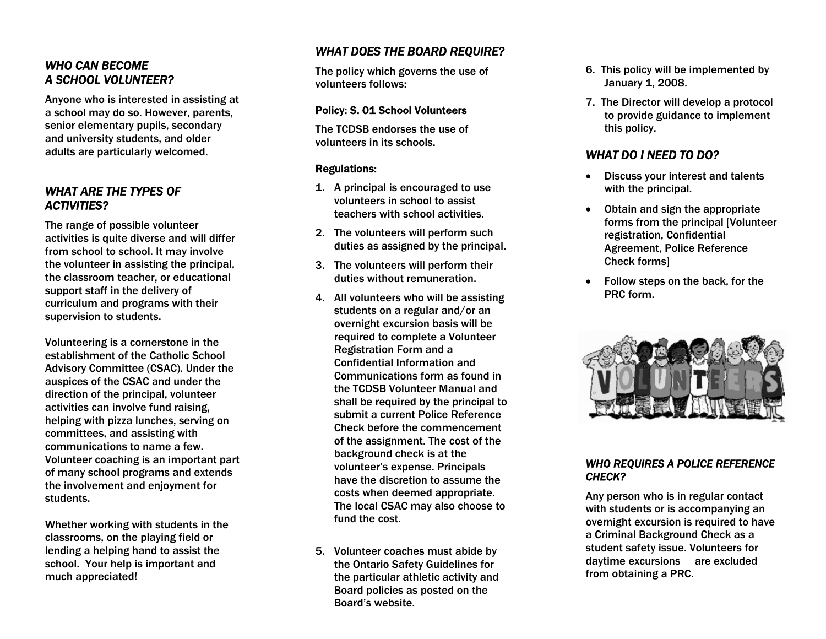# *WHO CAN BECOME A SCHOOL VOLUNTEER?*

Anyone who is interested in assisting at a school may do so. However, parents, senior elementary pupils, secondary and university students, and older adults are particularly welcomed.

# *WHAT ARE THE TYPES OF ACTIVITIES?*

The range of possible volunteer activities is quite diverse and will differ from school to school. It may involve the volunteer in assisting the principal, the classroom teacher, or educational support staff in the delivery of curriculum and programs with their supervision to students.

Volunteering is a cornerstone in the establishment of the Catholic School Advisory Committee (CSAC). Under the auspices of the CSAC and under the direction of the principal, volunteer activities can involve fund raising, helping with pizza lunches, serving on committees, and assisting with communications to name a few. Volunteer coaching is an important part of many school programs and extends the involvement and enjoyment for students.

Whether working with students in the classrooms, on the playing field or lending a helping hand to assist the school. Your help is important and much appreciated!

# *WHAT DOES THE BOARD REQUIRE?*

The policy which governs the use of volunteers follows:

## Policy: S. 01 School Volunteers

The TCDSB endorses the use of volunteers in its schools.

## Regulations:

- 1. A principal is encouraged to use volunteers in school to assist teachers with school activities.
- 2. The volunteers will perform such duties as assigned by the principal.
- 3. The volunteers will perform their duties without remuneration.
- 4. All volunteers who will be assisting students on a regular and/or an overnight excursion basis will be required to complete a Volunteer Registration Form and a Confidential Information and Communications form as found in the TCDSB Volunteer Manual and shall be required by the principal to submit a current Police Reference Check before the commencement of the assignment. The cost of the background check is at the volunteer's expense. Principals have the discretion to assume the costs when deemed appropriate. The local CSAC may also choose to fund the cost.
- 5. Volunteer coaches must abide by the Ontario Safety Guidelines for the particular athletic activity and Board policies as posted on the Board's website.
- 6. This policy will be implemented by January 1, 2008.
- 7. The Director will develop a protocol to provide guidance to implement this policy.

# *WHAT DO I NEED TO DO?*

- • Discuss your interest and talents with the principal.
- • Obtain and sign the appropriate forms from the principal [Volunteer registration, Confidential Agreement, Police Reference Check forms]
- Follow steps on the back, for the PRC form.



## *WHO REQUIRES A POLICE REFERENCE CHECK?*

Any person who is in regular contact with students or is accompanying an overnight excursion is required to have a Criminal Background Check as a student safety issue. Volunteers for daytime excursions are excluded from obtaining a PRC.